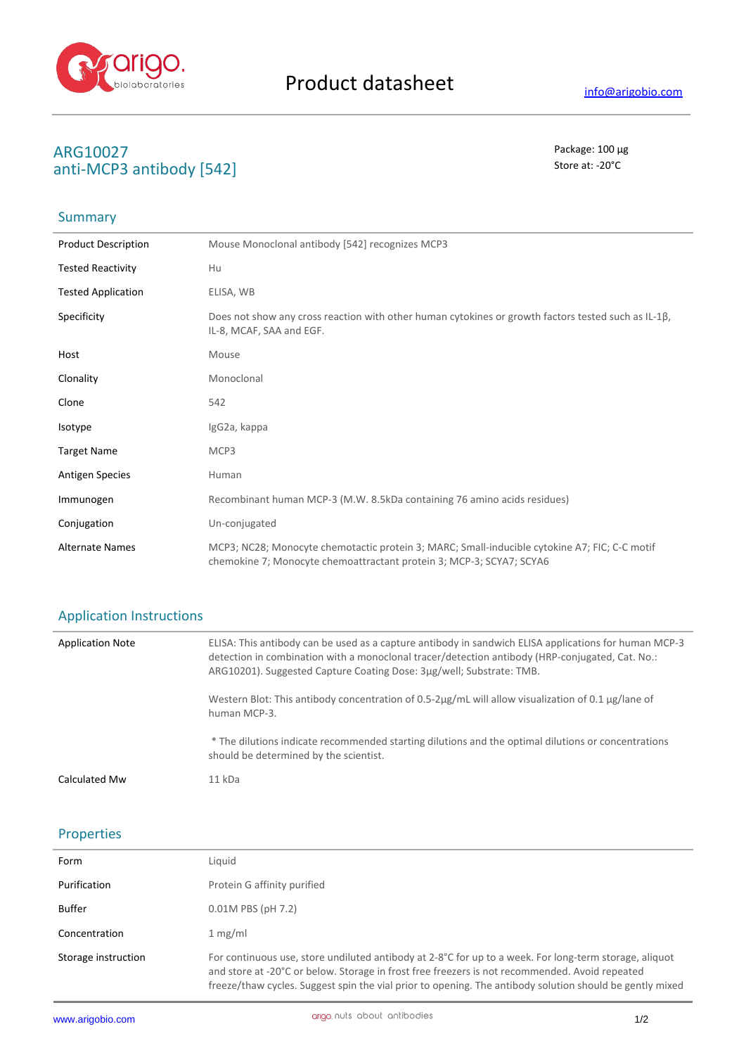

## **ARG10027** Package: 100 μg **anti-MCP3 antibody [542]** Store at: -20 $^{\circ}$ C

## Summary

| <b>Product Description</b> | Mouse Monoclonal antibody [542] recognizes MCP3                                                                                                                       |
|----------------------------|-----------------------------------------------------------------------------------------------------------------------------------------------------------------------|
| <b>Tested Reactivity</b>   | Hu                                                                                                                                                                    |
| <b>Tested Application</b>  | ELISA, WB                                                                                                                                                             |
| Specificity                | Does not show any cross reaction with other human cytokines or growth factors tested such as IL-1ß,<br>IL-8, MCAF, SAA and EGF.                                       |
| Host                       | Mouse                                                                                                                                                                 |
| Clonality                  | Monoclonal                                                                                                                                                            |
| Clone                      | 542                                                                                                                                                                   |
| Isotype                    | IgG2a, kappa                                                                                                                                                          |
| <b>Target Name</b>         | MCP3                                                                                                                                                                  |
| <b>Antigen Species</b>     | Human                                                                                                                                                                 |
| Immunogen                  | Recombinant human MCP-3 (M.W. 8.5kDa containing 76 amino acids residues)                                                                                              |
| Conjugation                | Un-conjugated                                                                                                                                                         |
| <b>Alternate Names</b>     | MCP3; NC28; Monocyte chemotactic protein 3; MARC; Small-inducible cytokine A7; FIC; C-C motif<br>chemokine 7; Monocyte chemoattractant protein 3; MCP-3; SCYA7; SCYA6 |

#### Application Instructions

| <b>Application Note</b> | ELISA: This antibody can be used as a capture antibody in sandwich ELISA applications for human MCP-3<br>detection in combination with a monoclonal tracer/detection antibody (HRP-conjugated, Cat. No.:<br>ARG10201). Suggested Capture Coating Dose: 3ug/well; Substrate: TMB. |
|-------------------------|----------------------------------------------------------------------------------------------------------------------------------------------------------------------------------------------------------------------------------------------------------------------------------|
|                         | Western Blot: This antibody concentration of 0.5-2µg/mL will allow visualization of 0.1 µg/lane of<br>human MCP-3.                                                                                                                                                               |
|                         | * The dilutions indicate recommended starting dilutions and the optimal dilutions or concentrations<br>should be determined by the scientist.                                                                                                                                    |
| Calculated Mw           | $11$ kDa                                                                                                                                                                                                                                                                         |

### Properties

| Form                | Liquid                                                                                                                                                                                                                                                                                                               |
|---------------------|----------------------------------------------------------------------------------------------------------------------------------------------------------------------------------------------------------------------------------------------------------------------------------------------------------------------|
| Purification        | Protein G affinity purified                                                                                                                                                                                                                                                                                          |
| Buffer              | 0.01M PBS (pH 7.2)                                                                                                                                                                                                                                                                                                   |
| Concentration       | 1 mg/ml                                                                                                                                                                                                                                                                                                              |
| Storage instruction | For continuous use, store undiluted antibody at 2-8°C for up to a week. For long-term storage, aliquot<br>and store at -20°C or below. Storage in frost free freezers is not recommended. Avoid repeated<br>freeze/thaw cycles. Suggest spin the vial prior to opening. The antibody solution should be gently mixed |